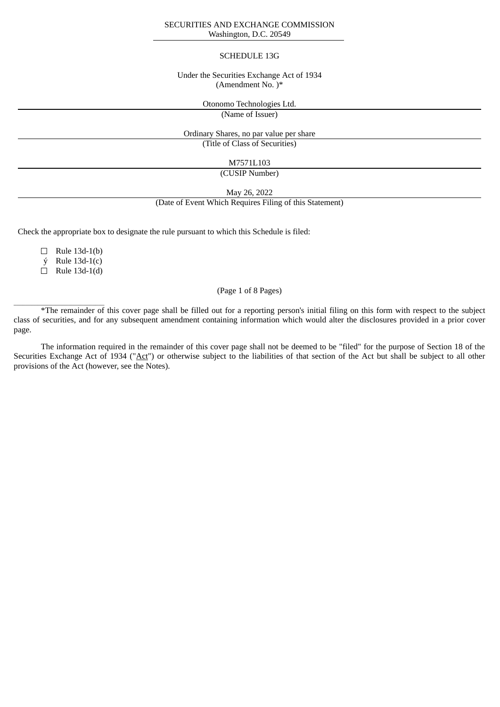### SECURITIES AND EXCHANGE COMMISSION Washington, D.C. 20549

#### SCHEDULE 13G

### Under the Securities Exchange Act of 1934 (Amendment No. )\*

Otonomo Technologies Ltd.

(Name of Issuer)

Ordinary Shares, no par value per share (Title of Class of Securities)

# M7571L103

(CUSIP Number)

May 26, 2022

(Date of Event Which Requires Filing of this Statement)

Check the appropriate box to designate the rule pursuant to which this Schedule is filed:

 $\Box$  Rule 13d-1(b)

ý Rule 13d-1(c)

 $\Box$  Rule 13d-1(d)

 $\overline{\phantom{a}}$  ,  $\overline{\phantom{a}}$  ,  $\overline{\phantom{a}}$  ,  $\overline{\phantom{a}}$  ,  $\overline{\phantom{a}}$  ,  $\overline{\phantom{a}}$  ,  $\overline{\phantom{a}}$  ,  $\overline{\phantom{a}}$  ,  $\overline{\phantom{a}}$  ,  $\overline{\phantom{a}}$  ,  $\overline{\phantom{a}}$  ,  $\overline{\phantom{a}}$  ,  $\overline{\phantom{a}}$  ,  $\overline{\phantom{a}}$  ,  $\overline{\phantom{a}}$  ,  $\overline{\phantom{a}}$ 

## (Page 1 of 8 Pages)

\*The remainder of this cover page shall be filled out for a reporting person's initial filing on this form with respect to the subject class of securities, and for any subsequent amendment containing information which would alter the disclosures provided in a prior cover page.

The information required in the remainder of this cover page shall not be deemed to be "filed" for the purpose of Section 18 of the Securities Exchange Act of 1934 ("Act") or otherwise subject to the liabilities of that section of the Act but shall be subject to all other provisions of the Act (however, see the Notes).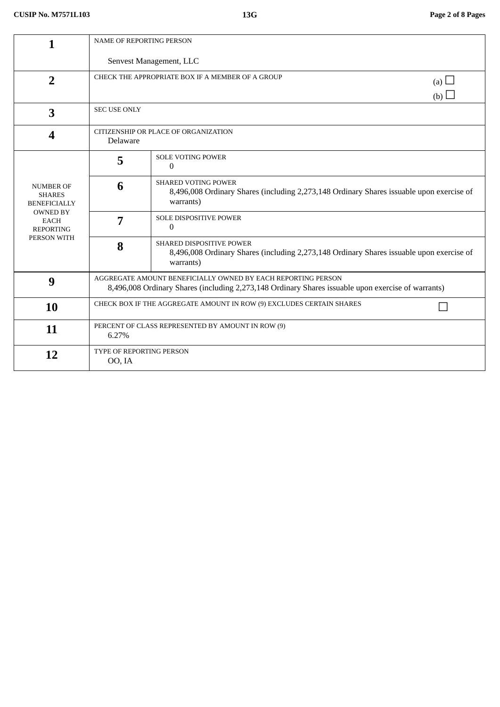| 1                                                                                                                             | <b>NAME OF REPORTING PERSON</b>                                                                                                                                    |                                                                                                                                          |  |  |  |
|-------------------------------------------------------------------------------------------------------------------------------|--------------------------------------------------------------------------------------------------------------------------------------------------------------------|------------------------------------------------------------------------------------------------------------------------------------------|--|--|--|
|                                                                                                                               | Senvest Management, LLC                                                                                                                                            |                                                                                                                                          |  |  |  |
| $\overline{2}$                                                                                                                | CHECK THE APPROPRIATE BOX IF A MEMBER OF A GROUP<br>(a) $\Box$<br>(b)                                                                                              |                                                                                                                                          |  |  |  |
| 3                                                                                                                             | <b>SEC USE ONLY</b>                                                                                                                                                |                                                                                                                                          |  |  |  |
| 4                                                                                                                             | CITIZENSHIP OR PLACE OF ORGANIZATION<br>Delaware                                                                                                                   |                                                                                                                                          |  |  |  |
| <b>NUMBER OF</b><br><b>SHARES</b><br><b>BENEFICIALLY</b><br><b>OWNED BY</b><br><b>EACH</b><br><b>REPORTING</b><br>PERSON WITH | 5                                                                                                                                                                  | <b>SOLE VOTING POWER</b><br>0                                                                                                            |  |  |  |
|                                                                                                                               | 6                                                                                                                                                                  | <b>SHARED VOTING POWER</b><br>8,496,008 Ordinary Shares (including 2,273,148 Ordinary Shares issuable upon exercise of<br>warrants)      |  |  |  |
|                                                                                                                               | 7                                                                                                                                                                  | <b>SOLE DISPOSITIVE POWER</b><br>$\Omega$                                                                                                |  |  |  |
|                                                                                                                               | 8                                                                                                                                                                  | <b>SHARED DISPOSITIVE POWER</b><br>8,496,008 Ordinary Shares (including 2,273,148 Ordinary Shares issuable upon exercise of<br>warrants) |  |  |  |
| 9                                                                                                                             | AGGREGATE AMOUNT BENEFICIALLY OWNED BY EACH REPORTING PERSON<br>8,496,008 Ordinary Shares (including 2,273,148 Ordinary Shares issuable upon exercise of warrants) |                                                                                                                                          |  |  |  |
| 10                                                                                                                            | CHECK BOX IF THE AGGREGATE AMOUNT IN ROW (9) EXCLUDES CERTAIN SHARES                                                                                               |                                                                                                                                          |  |  |  |
| 11                                                                                                                            | PERCENT OF CLASS REPRESENTED BY AMOUNT IN ROW (9)<br>6.27%                                                                                                         |                                                                                                                                          |  |  |  |
| 12                                                                                                                            | TYPE OF REPORTING PERSON<br>OO, IA                                                                                                                                 |                                                                                                                                          |  |  |  |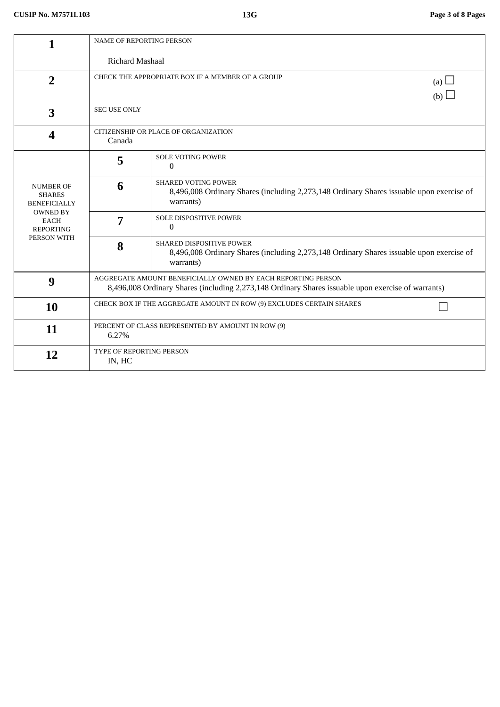| 1                                                                                                                             | NAME OF REPORTING PERSON                                                                                                                                           |                                                                                                                                     |  |  |
|-------------------------------------------------------------------------------------------------------------------------------|--------------------------------------------------------------------------------------------------------------------------------------------------------------------|-------------------------------------------------------------------------------------------------------------------------------------|--|--|
|                                                                                                                               | Richard Mashaal                                                                                                                                                    |                                                                                                                                     |  |  |
| $\overline{2}$                                                                                                                | CHECK THE APPROPRIATE BOX IF A MEMBER OF A GROUP<br>(a) $\Box$<br>(b)                                                                                              |                                                                                                                                     |  |  |
| 3                                                                                                                             | SEC USE ONLY                                                                                                                                                       |                                                                                                                                     |  |  |
| $\overline{\mathbf{4}}$                                                                                                       | CITIZENSHIP OR PLACE OF ORGANIZATION<br>Canada                                                                                                                     |                                                                                                                                     |  |  |
| <b>NUMBER OF</b><br><b>SHARES</b><br><b>BENEFICIALLY</b><br><b>OWNED BY</b><br><b>EACH</b><br><b>REPORTING</b><br>PERSON WITH | 5                                                                                                                                                                  | <b>SOLE VOTING POWER</b><br>0                                                                                                       |  |  |
|                                                                                                                               | 6                                                                                                                                                                  | <b>SHARED VOTING POWER</b><br>8,496,008 Ordinary Shares (including 2,273,148 Ordinary Shares issuable upon exercise of<br>warrants) |  |  |
|                                                                                                                               | 7                                                                                                                                                                  | <b>SOLE DISPOSITIVE POWER</b><br>$\Omega$                                                                                           |  |  |
|                                                                                                                               | 8                                                                                                                                                                  | SHARED DISPOSITIVE POWER<br>8,496,008 Ordinary Shares (including 2,273,148 Ordinary Shares issuable upon exercise of<br>warrants)   |  |  |
| 9                                                                                                                             | AGGREGATE AMOUNT BENEFICIALLY OWNED BY EACH REPORTING PERSON<br>8,496,008 Ordinary Shares (including 2,273,148 Ordinary Shares issuable upon exercise of warrants) |                                                                                                                                     |  |  |
| 10                                                                                                                            | CHECK BOX IF THE AGGREGATE AMOUNT IN ROW (9) EXCLUDES CERTAIN SHARES                                                                                               |                                                                                                                                     |  |  |
| 11                                                                                                                            | PERCENT OF CLASS REPRESENTED BY AMOUNT IN ROW (9)<br>6.27%                                                                                                         |                                                                                                                                     |  |  |
| 12                                                                                                                            | <b>TYPE OF REPORTING PERSON</b><br>IN, HC                                                                                                                          |                                                                                                                                     |  |  |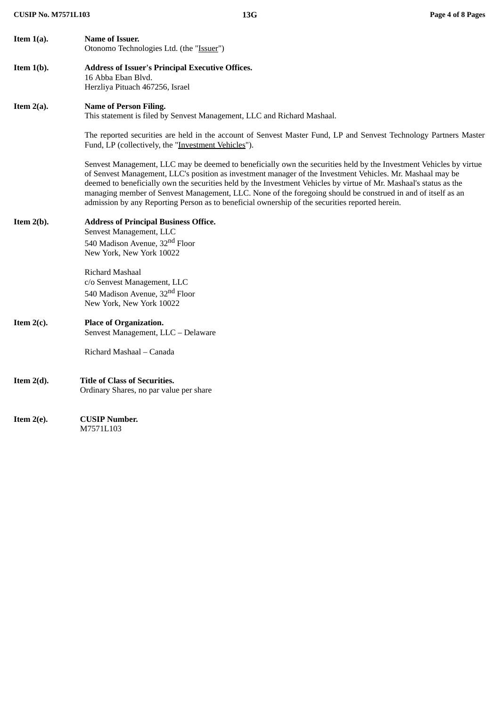| Item $1(a)$ . | Name of Issuer.<br>Otonomo Technologies Ltd. (the "Issuer")                                                                                                                                                                                                                                                                                                                                                                                                                                                                                                               |
|---------------|---------------------------------------------------------------------------------------------------------------------------------------------------------------------------------------------------------------------------------------------------------------------------------------------------------------------------------------------------------------------------------------------------------------------------------------------------------------------------------------------------------------------------------------------------------------------------|
| Item $1(b)$ . | <b>Address of Issuer's Principal Executive Offices.</b><br>16 Abba Eban Blvd.<br>Herzliya Pituach 467256, Israel                                                                                                                                                                                                                                                                                                                                                                                                                                                          |
| Item $2(a)$ . | <b>Name of Person Filing.</b><br>This statement is filed by Senvest Management, LLC and Richard Mashaal.                                                                                                                                                                                                                                                                                                                                                                                                                                                                  |
|               | The reported securities are held in the account of Senvest Master Fund, LP and Senvest Technology Partners Master<br>Fund, LP (collectively, the "Investment Vehicles").                                                                                                                                                                                                                                                                                                                                                                                                  |
|               | Senvest Management, LLC may be deemed to beneficially own the securities held by the Investment Vehicles by virtue<br>of Senvest Management, LLC's position as investment manager of the Investment Vehicles. Mr. Mashaal may be<br>deemed to beneficially own the securities held by the Investment Vehicles by virtue of Mr. Mashaal's status as the<br>managing member of Senvest Management, LLC. None of the foregoing should be construed in and of itself as an<br>admission by any Reporting Person as to beneficial ownership of the securities reported herein. |
| Item $2(b)$ . | <b>Address of Principal Business Office.</b><br>Senvest Management, LLC<br>540 Madison Avenue, 32 <sup>nd</sup> Floor<br>New York, New York 10022                                                                                                                                                                                                                                                                                                                                                                                                                         |
|               | Richard Mashaal<br>c/o Senvest Management, LLC<br>540 Madison Avenue, 32 <sup>nd</sup> Floor<br>New York, New York 10022                                                                                                                                                                                                                                                                                                                                                                                                                                                  |
| Item $2(c)$ . | <b>Place of Organization.</b><br>Senvest Management, LLC - Delaware                                                                                                                                                                                                                                                                                                                                                                                                                                                                                                       |
|               | Richard Mashaal – Canada                                                                                                                                                                                                                                                                                                                                                                                                                                                                                                                                                  |
| Item $2(d)$ . | <b>Title of Class of Securities.</b><br>Ordinary Shares, no par value per share                                                                                                                                                                                                                                                                                                                                                                                                                                                                                           |
| Item $2(e)$ . | <b>CUSIP Number.</b><br>M7571L103                                                                                                                                                                                                                                                                                                                                                                                                                                                                                                                                         |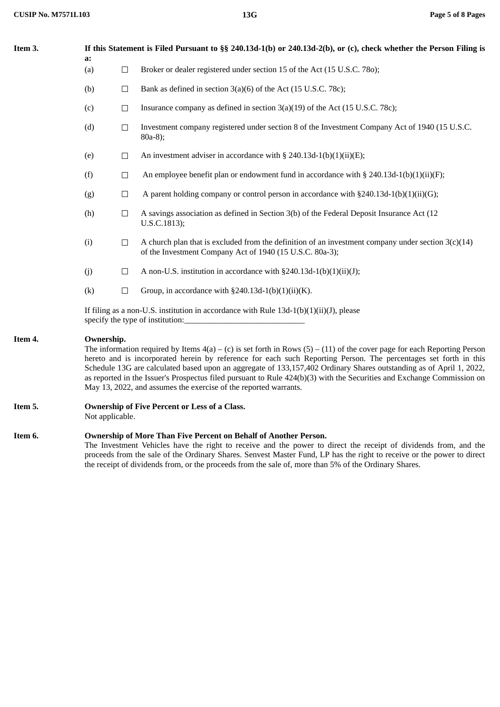| Item 3. | a:  | If this Statement is Filed Pursuant to §§ 240.13d-1(b) or 240.13d-2(b), or (c), check whether the Person Filing is                                                                                                                                                                                                                                                                                                                                                                                                                                                                  |                                                                                                                                                                  |  |  |
|---------|-----|-------------------------------------------------------------------------------------------------------------------------------------------------------------------------------------------------------------------------------------------------------------------------------------------------------------------------------------------------------------------------------------------------------------------------------------------------------------------------------------------------------------------------------------------------------------------------------------|------------------------------------------------------------------------------------------------------------------------------------------------------------------|--|--|
|         | (a) | $\Box$                                                                                                                                                                                                                                                                                                                                                                                                                                                                                                                                                                              | Broker or dealer registered under section 15 of the Act (15 U.S.C. 780);                                                                                         |  |  |
|         | (b) | $\Box$                                                                                                                                                                                                                                                                                                                                                                                                                                                                                                                                                                              | Bank as defined in section 3(a)(6) of the Act (15 U.S.C. 78c);                                                                                                   |  |  |
|         | (c) | $\Box$                                                                                                                                                                                                                                                                                                                                                                                                                                                                                                                                                                              | Insurance company as defined in section $3(a)(19)$ of the Act (15 U.S.C. 78c);                                                                                   |  |  |
|         | (d) | $\Box$                                                                                                                                                                                                                                                                                                                                                                                                                                                                                                                                                                              | Investment company registered under section 8 of the Investment Company Act of 1940 (15 U.S.C.<br>$80a-8$ ;                                                      |  |  |
|         | (e) | $\Box$                                                                                                                                                                                                                                                                                                                                                                                                                                                                                                                                                                              | An investment adviser in accordance with $\S$ 240.13d-1(b)(1)(ii)(E);                                                                                            |  |  |
|         | (f) | $\Box$                                                                                                                                                                                                                                                                                                                                                                                                                                                                                                                                                                              | An employee benefit plan or endowment fund in accordance with $\S 240.13d-1(b)(1)(ii)(F);$                                                                       |  |  |
|         | (g) | $\Box$                                                                                                                                                                                                                                                                                                                                                                                                                                                                                                                                                                              | A parent holding company or control person in accordance with §240.13d-1(b)(1)(ii)(G);                                                                           |  |  |
|         | (h) | $\Box$                                                                                                                                                                                                                                                                                                                                                                                                                                                                                                                                                                              | A savings association as defined in Section 3(b) of the Federal Deposit Insurance Act (12<br>U.S.C.1813);                                                        |  |  |
|         | (i) | $\Box$                                                                                                                                                                                                                                                                                                                                                                                                                                                                                                                                                                              | A church plan that is excluded from the definition of an investment company under section $3(c)(14)$<br>of the Investment Company Act of 1940 (15 U.S.C. 80a-3); |  |  |
|         | (j) | $\Box$                                                                                                                                                                                                                                                                                                                                                                                                                                                                                                                                                                              | A non-U.S. institution in accordance with $\S 240.13d-1(b)(1)(ii)(J);$                                                                                           |  |  |
|         | (k) | $\Box$                                                                                                                                                                                                                                                                                                                                                                                                                                                                                                                                                                              | Group, in accordance with $\S 240.13d-1(b)(1)(ii)(K)$ .                                                                                                          |  |  |
|         |     |                                                                                                                                                                                                                                                                                                                                                                                                                                                                                                                                                                                     | If filing as a non-U.S. institution in accordance with Rule 13d-1(b)(1)(ii)(J), please<br>specify the type of institution:                                       |  |  |
| Item 4. |     | Ownership.<br>The information required by Items $4(a) - (c)$ is set forth in Rows $(5) - (11)$ of the cover page for each Reporting Person<br>hereto and is incorporated herein by reference for each such Reporting Person. The percentages set forth in this<br>Schedule 13G are calculated based upon an aggregate of 133,157,402 Ordinary Shares outstanding as of April 1, 2022,<br>as reported in the Issuer's Prospectus filed pursuant to Rule 424(b)(3) with the Securities and Exchange Commission on<br>May 13, 2022, and assumes the exercise of the reported warrants. |                                                                                                                                                                  |  |  |
| Item 5. |     | Ownership of Five Percent or Less of a Class.<br>Not applicable.                                                                                                                                                                                                                                                                                                                                                                                                                                                                                                                    |                                                                                                                                                                  |  |  |
| Item 6. |     | Ownership of More Than Five Percent on Behalf of Another Person.<br>The Investment Vehicles have the right to receive and the power to direct the receipt of dividends from, and the<br>proceeds from the sale of the Ordinary Shares. Senvest Master Fund, LP has the right to receive or the power to direct<br>the receipt of dividends from, or the proceeds from the sale of, more than 5% of the Ordinary Shares.                                                                                                                                                             |                                                                                                                                                                  |  |  |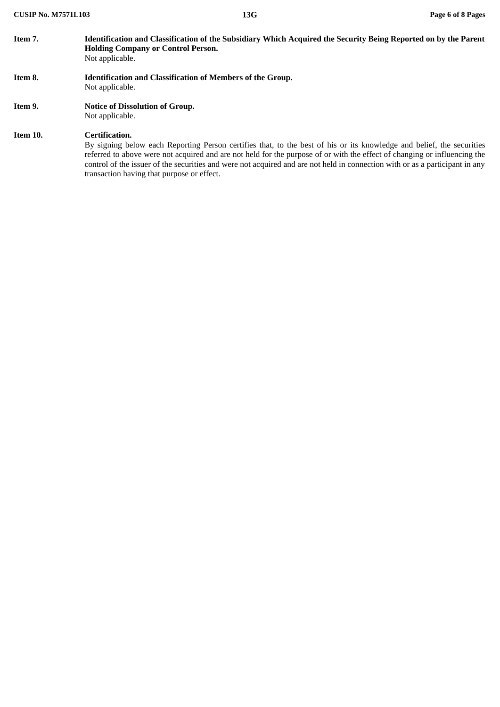| Item 7.  | Identification and Classification of the Subsidiary Which Acquired the Security Being Reported on by the Parent<br><b>Holding Company or Control Person.</b><br>Not applicable.                                                                                                                                                                                                                                                                    |
|----------|----------------------------------------------------------------------------------------------------------------------------------------------------------------------------------------------------------------------------------------------------------------------------------------------------------------------------------------------------------------------------------------------------------------------------------------------------|
| Item 8.  | <b>Identification and Classification of Members of the Group.</b><br>Not applicable.                                                                                                                                                                                                                                                                                                                                                               |
| Item 9.  | <b>Notice of Dissolution of Group.</b><br>Not applicable.                                                                                                                                                                                                                                                                                                                                                                                          |
| Item 10. | Certification.<br>By signing below each Reporting Person certifies that, to the best of his or its knowledge and belief, the securities<br>referred to above were not acquired and are not held for the purpose of or with the effect of changing or influencing the<br>control of the issuer of the securities and were not acquired and are not held in connection with or as a participant in any<br>transaction having that purpose or effect. |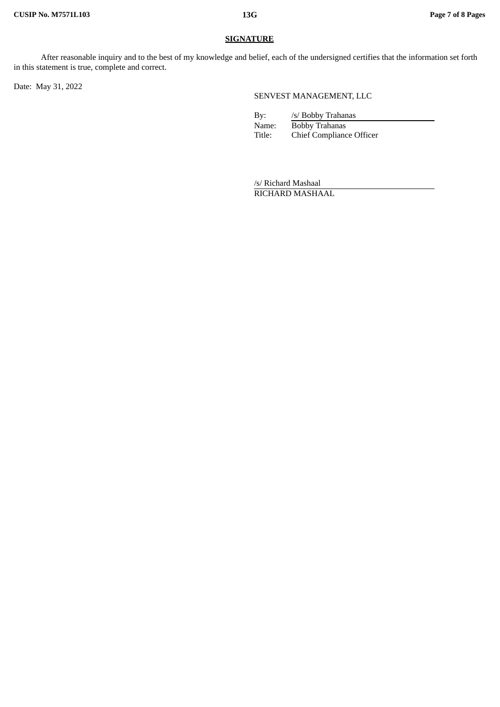### **SIGNATURE**

After reasonable inquiry and to the best of my knowledge and belief, each of the undersigned certifies that the information set forth in this statement is true, complete and correct.

Date: May 31, 2022

SENVEST MANAGEMENT, LLC

By: /s/ Bobby Trahanas Name: Bobby Trahanas<br>Title: Chief Complianc Chief Compliance Officer

/s/ Richard Mashaal RICHARD MASHAAL